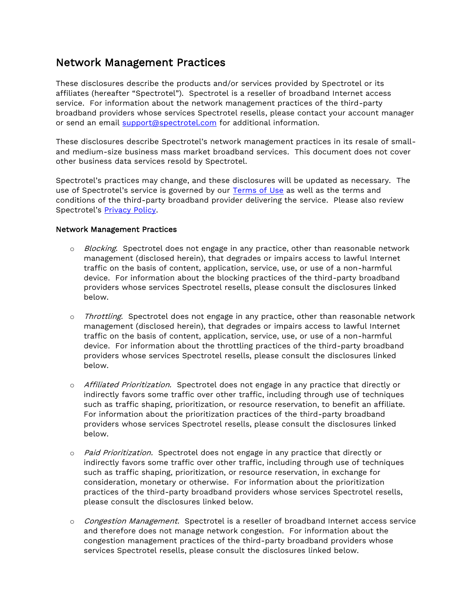## Network Management Practices

These disclosures describe the products and/or services provided by Spectrotel or its affiliates (hereafter "Spectrotel"). Spectrotel is a reseller of broadband Internet access service. For information about the network management practices of the third-party broadband providers whose services Spectrotel resells, please contact your account manager or send an email [support@spectrotel.com](mailto:support@spectrotel.com) for additional information.

These disclosures describe Spectrotel's network management practices in its resale of smalland medium-size business mass market broadband services. This document does not cover other business data services resold by Spectrotel.

Spectrotel's practices may change, and these disclosures will be updated as necessary. The use of Spectrotel's service is governed by our [Terms of Use](https://www.spectrotel.com/contact/legal-and-compliance/terms-of-use) as well as the terms and conditions of the third-party broadband provider delivering the service. Please also review Spectrotel's [Privacy Policy.](http://www.spectrotel.com/contact/legal-and-compliance/privacy-policy)

## Network Management Practices

- o Blocking. Spectrotel does not engage in any practice, other than reasonable network management (disclosed herein), that degrades or impairs access to lawful Internet traffic on the basis of content, application, service, use, or use of a non-harmful device. For information about the blocking practices of the third-party broadband providers whose services Spectrotel resells, please consult the disclosures linked below.
- $\circ$  Throttling. Spectrotel does not engage in any practice, other than reasonable network management (disclosed herein), that degrades or impairs access to lawful Internet traffic on the basis of content, application, service, use, or use of a non-harmful device. For information about the throttling practices of the third-party broadband providers whose services Spectrotel resells, please consult the disclosures linked below.
- o Affiliated Prioritization. Spectrotel does not engage in any practice that directly or indirectly favors some traffic over other traffic, including through use of techniques such as traffic shaping, prioritization, or resource reservation, to benefit an affiliate. For information about the prioritization practices of the third-party broadband providers whose services Spectrotel resells, please consult the disclosures linked below.
- $\circ$  Paid Prioritization. Spectrotel does not engage in any practice that directly or indirectly favors some traffic over other traffic, including through use of techniques such as traffic shaping, prioritization, or resource reservation, in exchange for consideration, monetary or otherwise. For information about the prioritization practices of the third-party broadband providers whose services Spectrotel resells, please consult the disclosures linked below.
- o *Congestion Management*. Spectrotel is a reseller of broadband Internet access service and therefore does not manage network congestion. For information about the congestion management practices of the third-party broadband providers whose services Spectrotel resells, please consult the disclosures linked below.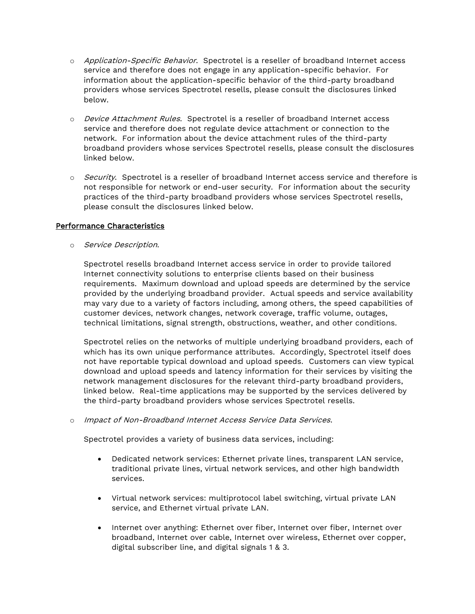- o Application-Specific Behavior. Spectrotel is a reseller of broadband Internet access service and therefore does not engage in any application-specific behavior. For information about the application-specific behavior of the third-party broadband providers whose services Spectrotel resells, please consult the disclosures linked below.
- o Device Attachment Rules. Spectrotel is a reseller of broadband Internet access service and therefore does not regulate device attachment or connection to the network. For information about the device attachment rules of the third-party broadband providers whose services Spectrotel resells, please consult the disclosures linked below.
- o *Security*. Spectrotel is a reseller of broadband Internet access service and therefore is not responsible for network or end-user security. For information about the security practices of the third-party broadband providers whose services Spectrotel resells, please consult the disclosures linked below.

## Performance Characteristics

o Service Description.

Spectrotel resells broadband Internet access service in order to provide tailored Internet connectivity solutions to enterprise clients based on their business requirements. Maximum download and upload speeds are determined by the service provided by the underlying broadband provider. Actual speeds and service availability may vary due to a variety of factors including, among others, the speed capabilities of customer devices, network changes, network coverage, traffic volume, outages, technical limitations, signal strength, obstructions, weather, and other conditions.

Spectrotel relies on the networks of multiple underlying broadband providers, each of which has its own unique performance attributes. Accordingly, Spectrotel itself does not have reportable typical download and upload speeds. Customers can view typical download and upload speeds and latency information for their services by visiting the network management disclosures for the relevant third-party broadband providers, linked below. Real-time applications may be supported by the services delivered by the third-party broadband providers whose services Spectrotel resells.

o Impact of Non-Broadband Internet Access Service Data Services.

Spectrotel provides a variety of business data services, including:

- Dedicated network services: Ethernet private lines, transparent LAN service, traditional private lines, virtual network services, and other high bandwidth services.
- Virtual network services: multiprotocol label switching, virtual private LAN service, and Ethernet virtual private LAN.
- Internet over anything: Ethernet over fiber, Internet over fiber, Internet over broadband, Internet over cable, Internet over wireless, Ethernet over copper, digital subscriber line, and digital signals 1 & 3.